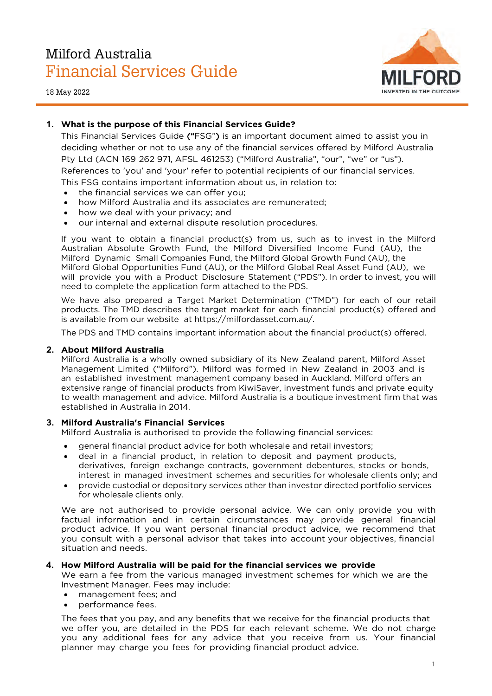# Milford Australia Financial Services Guide

18 May 2022



## **1. What is the purpose of this Financial Services Guide?**

This Financial Services Guide ("FSG") is an important document aimed to assist you in deciding whether or not to use any of the financial services offered by Milford Australia Pty Ltd (ACN 169 262 971, AFSL 461253) ("Milford Australia", "our", "we" or "us"). References to 'you' and 'your' refer to potential recipients of our financial services. This FSG contains important information about us, in relation to:

- the financial services we can offer you;
- how Milford Australia and its associates are remunerated;
- how we deal with your privacy; and
- our internal and external dispute resolution procedures.

If you want to obtain a financial product(s) from us, such as to invest in the Milford Australian Absolute Growth Fund, the Milford Diversified Income Fund (AU), the Milford Dynamic Small Companies Fund, the Milford Global Growth Fund (AU), the Milford Global Opportunities Fund (AU), or the Milford Global Real Asset Fund (AU), we will provide you with a Product Disclosure Statement ("PDS"). In order to invest, you will need to complete the application form attached to the PDS.

We have also prepared a Target Market Determination ("TMD") for each of our retail products. The TMD describes the target market for each financial product(s) offered and [is available from our web](https://milfordasset.com.au/)site at https://milfordasset.com.au/.

The PDS and TMD contains important information about the financial product(s) offered.

#### **2. About Milford Australia**

Milford Australia is a wholly owned subsidiary of its New Zealand parent, Milford Asset Management Limited ("Milford"). Milford was formed in New Zealand in 2003 and is an established investment management company based in Auckland. Milford offers an extensive range of financial products from KiwiSaver, investment funds and private equity to wealth management and advice. Milford Australia is a boutique investment firm that was established in Australia in 2014.

#### **3. Milford Australia's Financial Services**

Milford Australia is authorised to provide the following financial services:

- general financial product advice for both wholesale and retail investors;
- deal in a financial product, in relation to deposit and payment products, derivatives, foreign exchange contracts, government debentures, stocks or bonds, interest in managed investment schemes and securities for wholesale clients only; and
- provide custodial or depository services other than investor directed portfolio services for wholesale clients only.

We are not authorised to provide personal advice. We can only provide you with factual information and in certain circumstances may provide general financial product advice. If you want personal financial product advice, we recommend that you consult with a personal advisor that takes into account your objectives, financial situation and needs.

#### **4. How Milford Australia will be paid for the financial services we provide**

We earn a fee from the various managed investment schemes for which we are the Investment Manager. Fees may include:

- management fees; and
- performance fees.

The fees that you pay, and any benefits that we receive for the financial products that we offer you, are detailed in the PDS for each relevant scheme. We do not charge you any additional fees for any advice that you receive from us. Your financial planner may charge you fees for providing financial product advice.